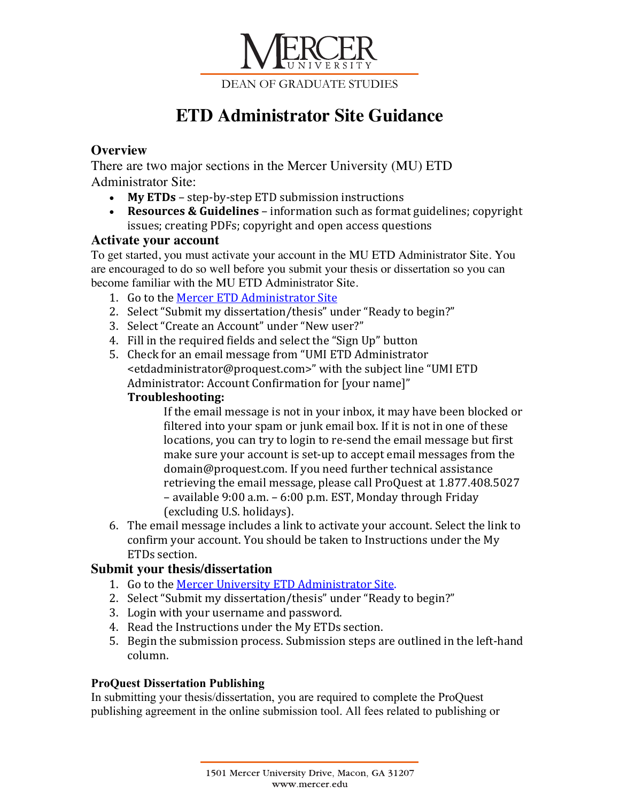

# **ETD Administrator Site Guidance**

# **Overview**

There are two major sections in the Mercer University (MU) ETD Administrator Site:

- My ETDs step-by-step ETD submission instructions
- **Resources & Guidelines** information such as format guidelines; copyright issues; creating PDFs; copyright and open access questions

## **Activate your account**

To get started, you must activate your account in the MU ETD Administrator Site. You are encouraged to do so well before you submit your thesis or dissertation so you can become familiar with the MU ETD Administrator Site.

- 1. Go to the Mercer ETD Administrator Site
- 2. Select "Submit my dissertation/thesis" under "Ready to begin?"
- 3. Select "Create an Account" under "New user?"
- 4. Fill in the required fields and select the "Sign Up" button
- 5. Check for an email message from "UMI ETD Administrator <etdadministrator@proquest.com>" with the subject line "UMI ETD Administrator: Account Confirmation for [your name]"

# **Troubleshooting:**

If the email message is not in your inbox, it may have been blocked or filtered into your spam or junk email box. If it is not in one of these locations, you can try to login to re-send the email message but first make sure your account is set-up to accept email messages from the domain@proquest.com. If you need further technical assistance retrieving the email message, please call ProQuest at 1.877.408.5027  $-$  available  $9:00$  a.m.  $-6:00$  p.m. EST, Monday through Friday (excluding U.S. holidays).

6. The email message includes a link to activate your account. Select the link to confirm your account. You should be taken to Instructions under the My ETDs section.

# **Submit your thesis/dissertation**

- 1. Go to the Mercer University ETD Administrator Site.
- 2. Select "Submit my dissertation/thesis" under "Ready to begin?"
- 3. Login with your username and password.
- 4. Read the Instructions under the My ETDs section.
- 5. Begin the submission process. Submission steps are outlined in the left-hand column.

## **ProQuest Dissertation Publishing**

In submitting your thesis/dissertation, you are required to complete the ProQuest publishing agreement in the online submission tool. All fees related to publishing or